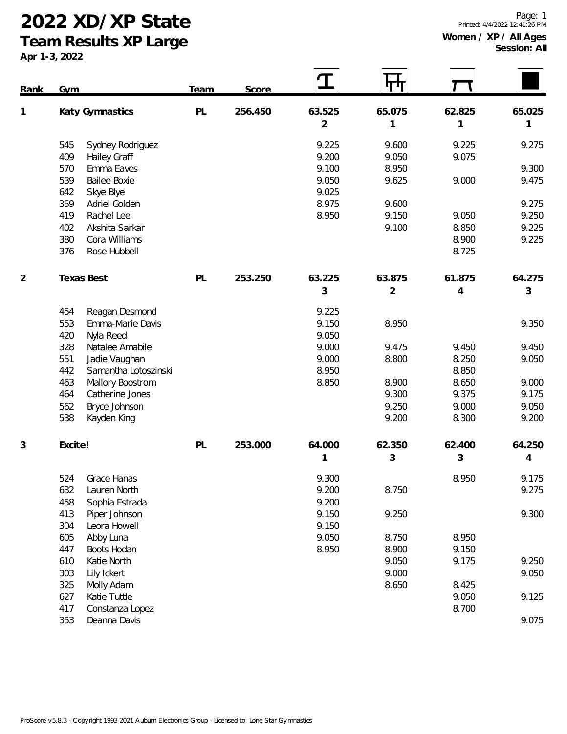**2022 XD/XP State**

**Team Results XP Large**

**Apr 1-3, 2022**

| Rank | Gym             |                      | Team | Score   | T              | पा             |        |        |
|------|-----------------|----------------------|------|---------|----------------|----------------|--------|--------|
| 1    | Katy Gymnastics |                      | PL   | 256.450 | 63.525         | 65.075         | 62.825 | 65.025 |
|      |                 |                      |      |         | $\overline{2}$ | 1              | 1      | 1      |
|      | 545             | Sydney Rodriguez     |      |         | 9.225          | 9.600          | 9.225  | 9.275  |
|      | 409             | Hailey Graff         |      |         | 9.200          | 9.050          | 9.075  |        |
|      | 570             | Emma Eaves           |      |         | 9.100          | 8.950          |        | 9.300  |
|      | 539             | <b>Bailee Boxie</b>  |      |         | 9.050          | 9.625          | 9.000  | 9.475  |
|      | 642             | Skye Blye            |      |         | 9.025          |                |        |        |
|      | 359             | Adriel Golden        |      |         | 8.975          | 9.600          |        | 9.275  |
|      | 419             | Rachel Lee           |      |         | 8.950          | 9.150          | 9.050  | 9.250  |
|      | 402             | Akshita Sarkar       |      |         |                | 9.100          | 8.850  | 9.225  |
|      | 380             | Cora Williams        |      |         |                |                | 8.900  | 9.225  |
|      | 376             | Rose Hubbell         |      |         |                |                | 8.725  |        |
| 2    |                 | <b>Texas Best</b>    | PL   | 253.250 | 63.225         | 63.875         | 61.875 | 64.275 |
|      |                 |                      |      |         | 3              | $\overline{2}$ | 4      | 3      |
|      | 454             | Reagan Desmond       |      |         | 9.225          |                |        |        |
|      | 553             | Emma-Marie Davis     |      |         | 9.150          | 8.950          |        | 9.350  |
|      | 420             | Nyla Reed            |      |         | 9.050          |                |        |        |
|      | 328             | Natalee Amabile      |      |         | 9.000          | 9.475          | 9.450  | 9.450  |
|      | 551             | Jadie Vaughan        |      |         | 9.000          | 8.800          | 8.250  | 9.050  |
|      | 442             | Samantha Lotoszinski |      |         | 8.950          |                | 8.850  |        |
|      | 463             | Mallory Boostrom     |      |         | 8.850          | 8.900          | 8.650  | 9.000  |
|      | 464             | Catherine Jones      |      |         |                | 9.300          | 9.375  | 9.175  |
|      | 562             | Bryce Johnson        |      |         |                | 9.250          | 9.000  | 9.050  |
|      | 538             | Kayden King          |      |         |                | 9.200          | 8.300  | 9.200  |
| 3    | Excite!         |                      | PL   | 253.000 | 64.000         | 62.350         | 62.400 | 64.250 |
|      |                 |                      |      |         | 1              | 3              | 3      | 4      |
|      | 524             | <b>Grace Hanas</b>   |      |         | 9.300          |                | 8.950  | 9.175  |
|      | 632             | Lauren North         |      |         | 9.200          | 8.750          |        | 9.275  |
|      | 458             | Sophia Estrada       |      |         | 9.200          |                |        |        |
|      | 413             | Piper Johnson        |      |         | 9.150          | 9.250          |        | 9.300  |
|      | 304             | Leora Howell         |      |         | 9.150          |                |        |        |
|      | 605             | Abby Luna            |      |         | 9.050          | 8.750          | 8.950  |        |
|      | 447             | Boots Hodan          |      |         | 8.950          | 8.900          | 9.150  |        |
|      | 610             | Katie North          |      |         |                | 9.050          | 9.175  | 9.250  |
|      | 303             | Lily Ickert          |      |         |                | 9.000          |        | 9.050  |
|      | 325             | Molly Adam           |      |         |                | 8.650          | 8.425  |        |
|      | 627             | Katie Tuttle         |      |         |                |                | 9.050  | 9.125  |
|      | 417             | Constanza Lopez      |      |         |                |                | 8.700  |        |
|      | 353             | Deanna Davis         |      |         |                |                |        | 9.075  |